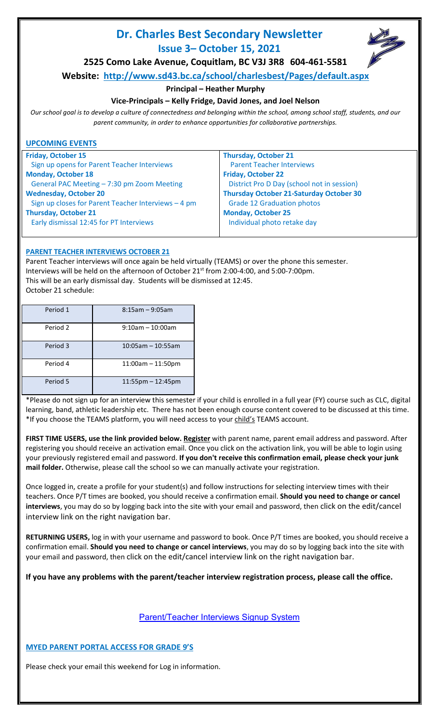# **Dr. Charles Best Secondary Newsletter Issue 3– October 15, 2021**



**2525 Como Lake Avenue, Coquitlam, BC V3J 3R8 604-461-5581**

**Website: <http://www.sd43.bc.ca/school/charlesbest/Pages/default.aspx>**

# **Principal – Heather Murphy**

# **Vice-Principals – Kelly Fridge, David Jones, and Joel Nelson**

*Our school goal is to develop a culture of connectedness and belonging within the school, among school staff, students, and our parent community, in order to enhance opportunities for collaborative partnerships.*

# **UPCOMING EVENTS**

| <b>Friday, October 15</b>                           | <b>Thursday, October 21</b>                    |
|-----------------------------------------------------|------------------------------------------------|
| Sign up opens for Parent Teacher Interviews         | <b>Parent Teacher Interviews</b>               |
| <b>Monday, October 18</b>                           | <b>Friday, October 22</b>                      |
| General PAC Meeting - 7:30 pm Zoom Meeting          | District Pro D Day (school not in session)     |
| <b>Wednesday, October 20</b>                        | <b>Thursday October 21-Saturday October 30</b> |
| Sign up closes for Parent Teacher Interviews - 4 pm | <b>Grade 12 Graduation photos</b>              |
| <b>Thursday, October 21</b>                         | <b>Monday, October 25</b>                      |
| Early dismissal 12:45 for PT Interviews             | Individual photo retake day                    |
|                                                     |                                                |

# **PARENT TEACHER INTERVIEWS OCTOBER 21**

Parent Teacher interviews will once again be held virtually (TEAMS) or over the phone this semester. Interviews will be held on the afternoon of October 21st from 2:00-4:00, and 5:00-7:00pm. This will be an early dismissal day. Students will be dismissed at 12:45. October 21 schedule:

| Period 1 | $8:15$ am – 9:05am     |
|----------|------------------------|
| Period 2 | $9:10$ am - 10:00am    |
| Period 3 | $10:05$ am - 10:55am   |
| Period 4 | $11:00$ am $-11:50$ pm |
| Period 5 | $11:55$ pm $-12:45$ pm |

\*Please do not sign up for an interview this semester if your child is enrolled in a full year (FY) course such as CLC, digital learning, band, athletic leadership etc. There has not been enough course content covered to be discussed at this time. \*If you choose the TEAMS platform, you will need access to your child's TEAMS account.

**FIRST TIME USERS, use the link provided below. [Register](http://charlesbestsecondary.datasubmit.ca/interviews/register.php)** with parent name, parent email address and password. After registering you should receive an activation email. Once you click on the activation link, you will be able to login using your previously registered email and password. **If you don't receive this confirmation email, please check your junk mail folder.** Otherwise, please call the school so we can manually activate your registration.

Once logged in, create a profile for your student(s) and follow instructions for selecting interview times with their teachers. Once P/T times are booked, you should receive a confirmation email. **Should you need to change or cancel interviews**, you may do so by logging back into the site with your email and password, then click on the edit/cancel interview link on the right navigation bar.

**RETURNING USERS,** log in with your username and password to book. Once P/T times are booked, you should receive a confirmation email. **Should you need to change or cancel interviews**, you may do so by logging back into the site with your email and password, then click on the edit/cancel interview link on the right navigation bar.

**If you have any problems with the parent/teacher interview registration process, please call the office.**

# [Parent/Teacher Interviews Signup System](http://charlesbestsecondary.datasubmit.ca/interviews)

# **MYED PARENT PORTAL ACCESS FOR GRADE 9'S**

Please check your email this weekend for Log in information.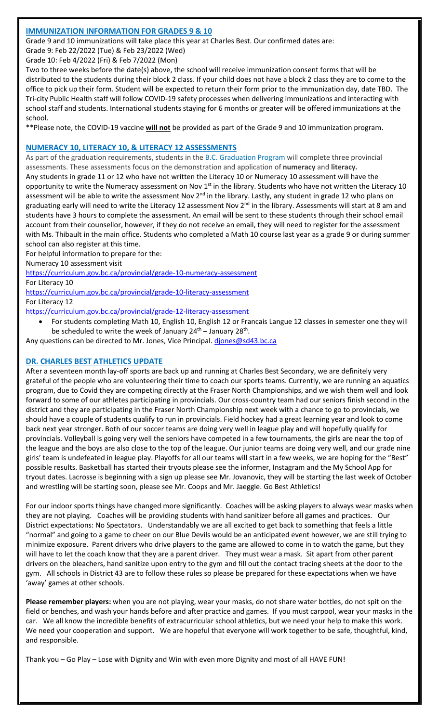# **IMMUNIZATION INFORMATION FOR GRADES 9 & 10**

Grade 9 and 10 immunizations will take place this year at Charles Best. Our confirmed dates are:

Grade 9: Feb 22/2022 (Tue) & Feb 23/2022 (Wed)

Grade 10: Feb 4/2022 (Fri) & Feb 7/2022 (Mon)

Two to three weeks before the date(s) above, the school will receive immunization consent forms that will be distributed to the students during their block 2 class. If your child does not have a block 2 class they are to come to the office to pick up their form. Student will be expected to return their form prior to the immunization day, date TBD. The Tri-city Public Health staff will follow COVID-19 safety processes when delivering immunizations and interacting with school staff and students. International students staying for 6 months or greater will be offered immunizations at the school.

\*\*Please note, the COVID-19 vaccine **will not** be provided as part of the Grade 9 and 10 immunization program.

#### **NUMERACY 10, LITERACY 10, & LITERACY 12 ASSESSMENTS**

As part of the graduation requirements, students in the **[B.C. Graduation Program](https://www2.gov.bc.ca/gov/content/education-training/k-12/support/graduation)** will complete three provincial assessments. These assessments focus on the demonstration and application of **numeracy** and **literacy.** Any students in grade 11 or 12 who have not written the Literacy 10 or Numeracy 10 assessment will have the opportunity to write the Numeracy assessment on Nov 1<sup>st</sup> in the library. Students who have not written the Literacy 10 assessment will be able to write the assessment Nov 2<sup>nd</sup> in the library. Lastly, any student in grade 12 who plans on graduating early will need to write the Literacy 12 assessment Nov 2<sup>nd</sup> in the library. Assessments will start at 8 am and students have 3 hours to complete the assessment. An email will be sent to these students through their school email account from their counsellor, however, if they do not receive an email, they will need to register for the assessment with Ms. Thibault in the main office. Students who completed a Math 10 course last year as a grade 9 or during summer school can also register at this time.

For helpful information to prepare for the:

Numeracy 10 assessment visit

<https://curriculum.gov.bc.ca/provincial/grade-10-numeracy-assessment>

For Literacy 10

<https://curriculum.gov.bc.ca/provincial/grade-10-literacy-assessment> For Literacy 12

<https://curriculum.gov.bc.ca/provincial/grade-12-literacy-assessment>

• For students completing Math 10, English 10, English 12 or Francais Langue 12 classes in semester one they will be scheduled to write the week of January  $24<sup>th</sup>$  – January  $28<sup>th</sup>$ .

Any questions can be directed to Mr. Jones, Vice Principal. diones@sd43.bc.ca

## **DR. CHARLES BEST ATHLETICS UPDATE**

After a seventeen month lay-off sports are back up and running at Charles Best Secondary, we are definitely very grateful of the people who are volunteering their time to coach our sports teams. Currently, we are running an aquatics program, due to Covid they are competing directly at the Fraser North Championships, and we wish them well and look forward to some of our athletes participating in provincials. Our cross-country team had our seniors finish second in the district and they are participating in the Fraser North Championship next week with a chance to go to provincials, we should have a couple of students qualify to run in provincials. Field hockey had a great learning year and look to come back next year stronger. Both of our soccer teams are doing very well in league play and will hopefully qualify for provincials. Volleyball is going very well the seniors have competed in a few tournaments, the girls are near the top of the league and the boys are also close to the top of the league. Our junior teams are doing very well, and our grade nine girls' team is undefeated in league play. Playoffs for all our teams will start in a few weeks, we are hoping for the "Best" possible results. Basketball has started their tryouts please see the informer, Instagram and the My School App for tryout dates. Lacrosse is beginning with a sign up please see Mr. Jovanovic, they will be starting the last week of October and wrestling will be starting soon, please see Mr. Coops and Mr. Jaeggle. Go Best Athletics!

For our indoor sports things have changed more significantly. Coaches will be asking players to always wear masks when they are not playing. Coaches will be providing students with hand sanitizer before all games and practices. Our District expectations: No Spectators. Understandably we are all excited to get back to something that feels a little "normal" and going to a game to cheer on our Blue Devils would be an anticipated event however, we are still trying to minimize exposure. Parent drivers who drive players to the game are allowed to come in to watch the game, but they will have to let the coach know that they are a parent driver. They must wear a mask. Sit apart from other parent drivers on the bleachers, hand sanitize upon entry to the gym and fill out the contact tracing sheets at the door to the gym. All schools in District 43 are to follow these rules so please be prepared for these expectations when we have 'away' games at other schools.

**Please remember players:** when you are not playing, wear your masks, do not share water bottles, do not spit on the field or benches, and wash your hands before and after practice and games. If you must carpool, wear your masks in the car. We all know the incredible benefits of extracurricular school athletics, but we need your help to make this work. We need your cooperation and support. We are hopeful that everyone will work together to be safe, thoughtful, kind, and responsible.

Thank you – Go Play – Lose with Dignity and Win with even more Dignity and most of all HAVE FUN!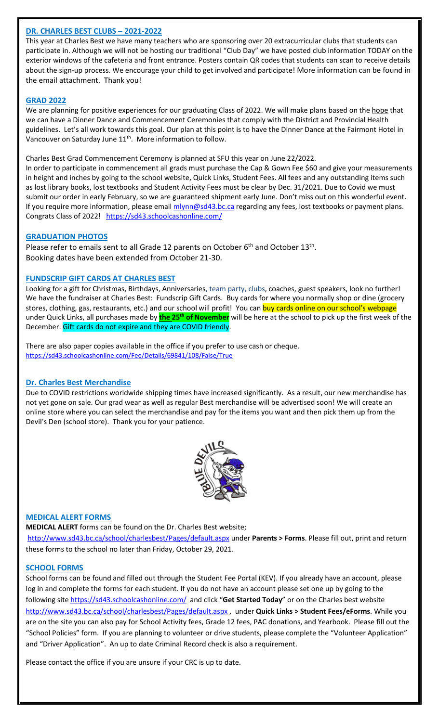# **DR. CHARLES BEST CLUBS – 2021-2022**

This year at Charles Best we have many teachers who are sponsoring over 20 extracurricular clubs that students can participate in. Although we will not be hosting our traditional "Club Day" we have posted club information TODAY on the exterior windows of the cafeteria and front entrance. Posters contain QR codes that students can scan to receive details about the sign-up process. We encourage your child to get involved and participate! More information can be found in the email attachment. Thank you!

#### **GRAD 2022**

We are planning for positive experiences for our graduating Class of 2022. We will make plans based on the hope that we can have a Dinner Dance and Commencement Ceremonies that comply with the District and Provincial Health guidelines. Let's all work towards this goal. Our plan at this point is to have the Dinner Dance at the Fairmont Hotel in Vancouver on Saturday June 11<sup>th</sup>. More information to follow.

Charles Best Grad Commencement Ceremony is planned at SFU this year on June 22/2022.

In order to participate in commencement all grads must purchase the Cap & Gown Fee \$60 and give your measurements in height and inches by going to the school website, Quick Links, Student Fees. All fees and any outstanding items such as lost library books, lost textbooks and Student Activity Fees must be clear by Dec. 31/2021. Due to Covid we must submit our order in early February, so we are guaranteed shipment early June. Don't miss out on this wonderful event. If you require more information, please email [mlynn@sd43.bc.ca](mailto:mlynn@sd43.bc.ca) regarding any fees, lost textbooks or payment plans. Congrats Class of 2022! <https://sd43.schoolcashonline.com/>

## **GRADUATION PHOTOS**

Please refer to emails sent to all Grade 12 parents on October  $6<sup>th</sup>$  and October 13<sup>th</sup>. Booking dates have been extended from October 21-30.

## **FUNDSCRIP GIFT CARDS AT CHARLES BEST**

Looking for a gift for Christmas, Birthdays, Anniversaries, team party, clubs, coaches, guest speakers, look no further! We have the fundraiser at Charles Best: Fundscrip Gift Cards. Buy cards for where you normally shop or dine (grocery stores, clothing, gas, restaurants, etc.) and our school will profit! You can buy cards online on our school's webpage under Quick Links, all purchases made by **the 25th of November** will be here at the school to pick up the first week of the December. Gift cards do not expire and they are COVID friendly.

There are also paper copies available in the office if you prefer to use cash or cheque. <https://sd43.schoolcashonline.com/Fee/Details/69841/108/False/True>

## **Dr. Charles Best Merchandise**

Due to COVID restrictions worldwide shipping times have increased significantly. As a result, our new merchandise has not yet gone on sale. Our grad wear as well as regular Best merchandise will be advertised soon! We will create an online store where you can select the merchandise and pay for the items you want and then pick them up from the Devil's Den (school store). Thank you for your patience.



## **MEDICAL ALERT FORMS**

**MEDICAL ALERT** forms can be found on the Dr. Charles Best website;

<http://www.sd43.bc.ca/school/charlesbest/Pages/default.aspx> under **Parents > Forms**. Please fill out, print and return these forms to the school no later than Friday, October 29, 2021.

## **SCHOOL FORMS**

School forms can be found and filled out through the Student Fee Portal (KEV). If you already have an account, please log in and complete the forms for each student. If you do not have an account please set one up by going to the following site<https://sd43.schoolcashonline.com/> and click "**Get Started Today**" or on the Charles best website <http://www.sd43.bc.ca/school/charlesbest/Pages/default.aspx> , under **Quick Links > Student Fees/eForms**. While you are on the site you can also pay for School Activity fees, Grade 12 fees, PAC donations, and Yearbook. Please fill out the "School Policies" form. If you are planning to volunteer or drive students, please complete the "Volunteer Application" and "Driver Application". An up to date Criminal Record check is also a requirement.

Please contact the office if you are unsure if your CRC is up to date.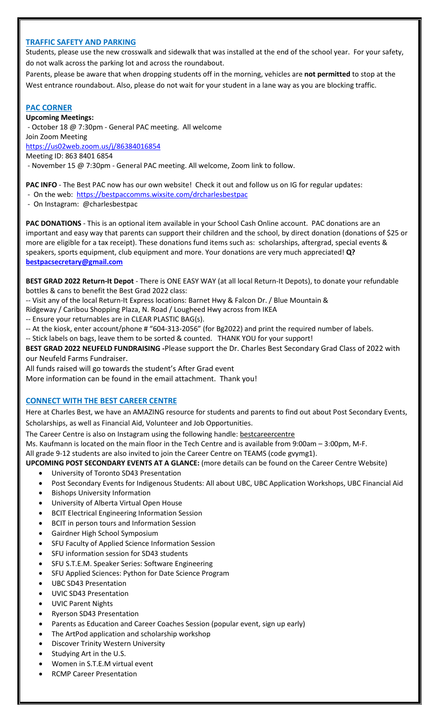# **TRAFFIC SAFETY AND PARKING**

Students, please use the new crosswalk and sidewalk that was installed at the end of the school year. For your safety, do not walk across the parking lot and across the roundabout.

Parents, please be aware that when dropping students off in the morning, vehicles are **not permitted** to stop at the West entrance roundabout. Also, please do not wait for your student in a lane way as you are blocking traffic.

#### **PAC CORNER**

**Upcoming Meetings:** - October 18 @ 7:30pm - General PAC meeting. All welcome Join Zoom Meeting <https://us02web.zoom.us/j/86384016854> Meeting ID: 863 8401 6854 - November 15 @ 7:30pm - General PAC meeting. All welcome, Zoom link to follow.

**PAC INFO** - The Best PAC now has our own website! Check it out and follow us on IG for regular updates:

- On the web: <https://bestpaccomms.wixsite.com/drcharlesbestpac>
- On Instagram: @charlesbestpac

**PAC DONATIONS** - This is an optional item available in your School Cash Online account. PAC donations are an important and easy way that parents can support their children and the school, by direct donation (donations of \$25 or more are eligible for a tax receipt). These donations fund items such as: scholarships, aftergrad, special events & speakers, sports equipment, club equipment and more. Your donations are very much appreciated! **Q? [bestpacsecretary@gmail.com](mailto:bestpacsecretary@gmail.com)**

**BEST GRAD 2022 Return-It Depot** - There is ONE EASY WAY (at all local Return-It Depots), to donate your refundable bottles & cans to benefit the Best Grad 2022 class:

-- Visit any of the local Return-It Express locations: Barnet Hwy & Falcon Dr. / Blue Mountain &

Ridgeway / Caribou Shopping Plaza, N. Road / Lougheed Hwy across from IKEA

-- Ensure your returnables are in CLEAR PLASTIC BAG(s).

-- At the kiosk, enter account/phone # "604-313-2056" (for Bg2022) and print the required number of labels.

-- Stick labels on bags, leave them to be sorted & counted. THANK YOU for your support!

**BEST GRAD 2022 NEUFELD FUNDRAISING -**Please support the Dr. Charles Best Secondary Grad Class of 2022 with our Neufeld Farms Fundraiser.

All funds raised will go towards the student's After Grad event

More information can be found in the email attachment. Thank you!

## **CONNECT WITH THE BEST CAREER CENTRE**

Here at Charles Best, we have an AMAZING resource for students and parents to find out about Post Secondary Events, Scholarships, as well as Financial Aid, Volunteer and Job Opportunities.

The Career Centre is also on Instagram using the following handle: [bestcareercentre](https://www.instagram.com/bestcareercentre?r=nametag)

Ms. Kaufmann is located on the main floor in the Tech Centre and is available from 9:00am – 3:00pm, M-F.

All grade 9-12 students are also invited to join the Career Centre on TEAMS (code gvymg1).

- **UPCOMING POST SECONDARY EVENTS AT A GLANCE:** (more details can be found on the Career Centre Website)
	- University of Toronto SD43 Presentation
	- Post Secondary Events for Indigenous Students: All about UBC, UBC Application Workshops, UBC Financial Aid
	- Bishops University Information
	- University of Alberta Virtual Open House
	- BCIT Electrical Engineering Information Session
	- BCIT in person tours and Information Session
	- Gairdner High School Symposium
	- SFU Faculty of Applied Science Information Session
	- SFU information session for SD43 students
	- SFU S.T.E.M. Speaker Series: Software Engineering
	- SFU Applied Sciences: Python for Date Science Program
	- UBC SD43 Presentation
	- UVIC SD43 Presentation
	- UVIC Parent Nights
	- Ryerson SD43 Presentation
	- Parents as Education and Career Coaches Session (popular event, sign up early)
	- The ArtPod application and scholarship workshop
	- Discover Trinity Western University
	- Studying Art in the U.S.
	- Women in S.T.E.M virtual event
	- RCMP Career Presentation